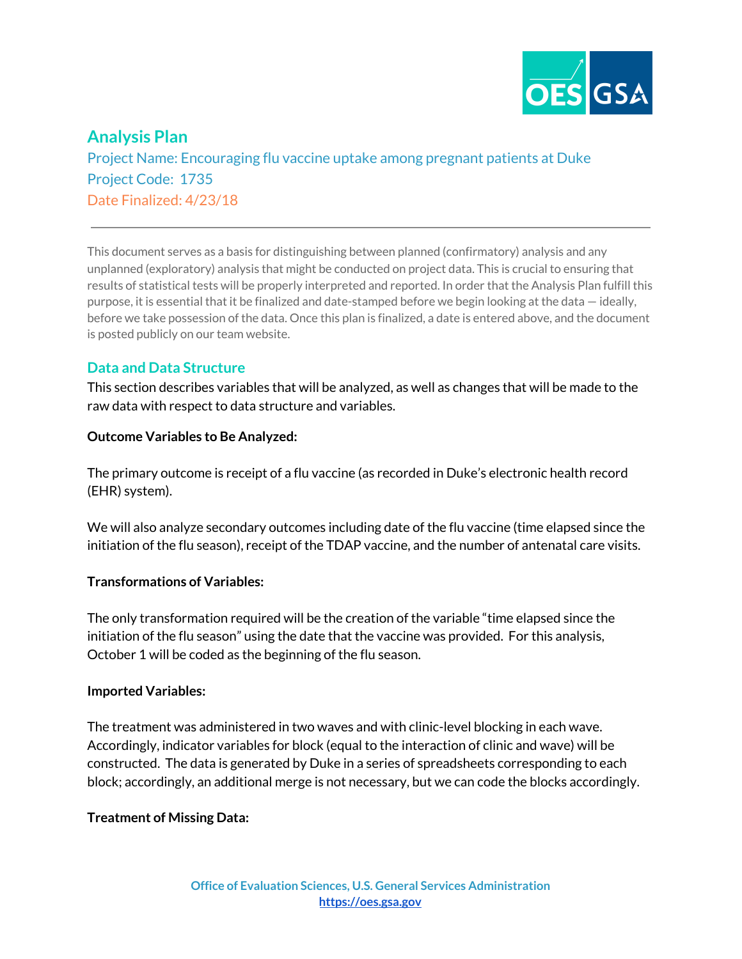

# **Analysis Plan**

Project Name: Encouraging flu vaccine uptake among pregnant patients at Duke Project Code: 1735 Date Finalized: 4/23/18

This document serves as a basis for distinguishing between planned (confirmatory) analysis and any unplanned (exploratory) analysis that might be conducted on project data. This is crucial to ensuring that results of statistical tests will be properly interpreted and reported. In order that the Analysis Plan fulfill this purpose, it is essential that it be finalized and date-stamped before we begin looking at the data — ideally, before we take possession of the data. Once this plan is finalized, a date is entered above, and the document is posted publicly on our team website.

## **Data and Data Structure**

This section describes variables that will be analyzed, as well as changes that will be made to the raw data with respect to data structure and variables.

### **Outcome Variables to Be Analyzed:**

The primary outcome is receipt of a flu vaccine (as recorded in Duke's electronic health record (EHR) system).

We will also analyze secondary outcomes including date of the flu vaccine (time elapsed since the initiation of the flu season), receipt of the TDAP vaccine, and the number of antenatal care visits.

### **Transformations of Variables:**

The only transformation required will be the creation of the variable "time elapsed since the initiation of the flu season" using the date that the vaccine was provided. For this analysis, October 1 will be coded as the beginning of the flu season.

### **Imported Variables:**

The treatment was administered in two waves and with clinic-level blocking in each wave. Accordingly, indicator variables for block (equal to the interaction of clinic and wave) will be constructed. The data is generated by Duke in a series of spreadsheets corresponding to each block; accordingly, an additional merge is not necessary, but we can code the blocks accordingly.

### **Treatment of Missing Data:**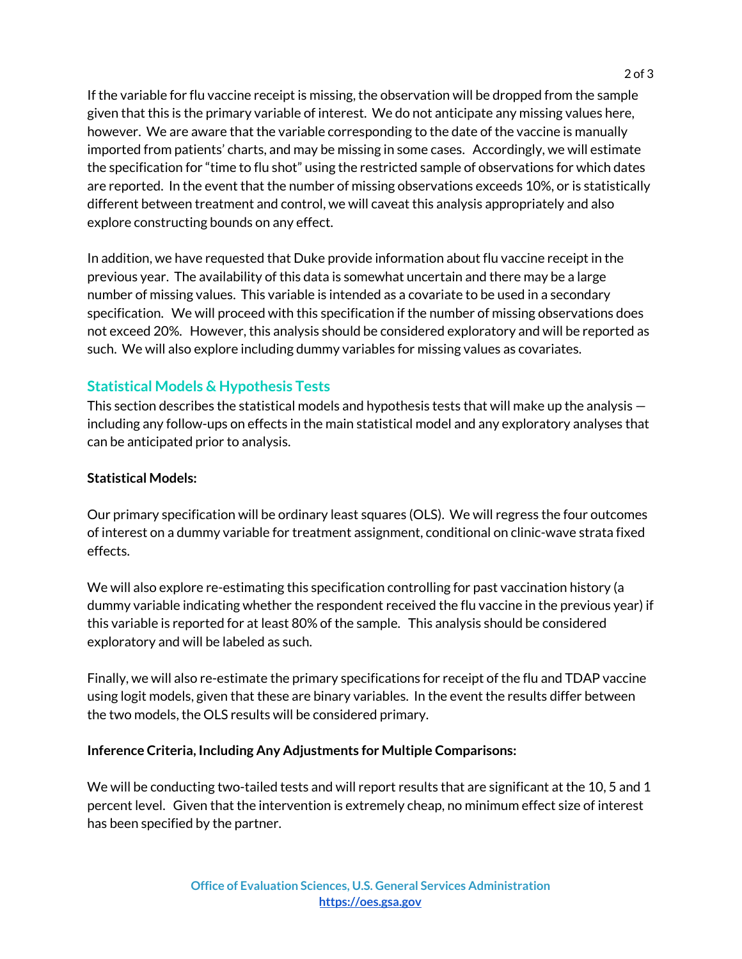If the variable for flu vaccine receipt is missing, the observation will be dropped from the sample given that this is the primary variable of interest. We do not anticipate any missing values here, however. We are aware that the variable corresponding to the date of the vaccine is manually imported from patients' charts, and may be missing in some cases. Accordingly, we will estimate the specification for "time to flu shot" using the restricted sample of observations for which dates are reported. In the event that the number of missing observations exceeds 10%, or is statistically different between treatment and control, we will caveat this analysis appropriately and also explore constructing bounds on any effect.

In addition, we have requested that Duke provide information about flu vaccine receipt in the previous year. The availability of this data is somewhat uncertain and there may be a large number of missing values. This variable is intended as a covariate to be used in a secondary specification. We will proceed with this specification if the number of missing observations does not exceed 20%. However, this analysis should be considered exploratory and will be reported as such. We will also explore including dummy variables for missing values as covariates.

## **Statistical Models & Hypothesis Tests**

This section describes the statistical models and hypothesis tests that will make up the analysis including any follow-ups on effects in the main statistical model and any exploratory analyses that can be anticipated prior to analysis.

#### **Statistical Models:**

Our primary specification will be ordinary least squares (OLS). We will regress the four outcomes of interest on a dummy variable for treatment assignment, conditional on clinic-wave strata fixed effects.

We will also explore re-estimating this specification controlling for past vaccination history (a dummy variable indicating whether the respondent received the flu vaccine in the previous year) if this variable is reported for at least 80% of the sample. This analysis should be considered exploratory and will be labeled as such.

Finally, we will also re-estimate the primary specifications for receipt of the flu and TDAP vaccine using logit models, given that these are binary variables. In the event the results differ between the two models, the OLS results will be considered primary.

#### **Inference Criteria, Including Any Adjustments for Multiple Comparisons:**

We will be conducting two-tailed tests and will report results that are significant at the 10, 5 and 1 percent level. Given that the intervention is extremely cheap, no minimum effect size of interest has been specified by the partner.